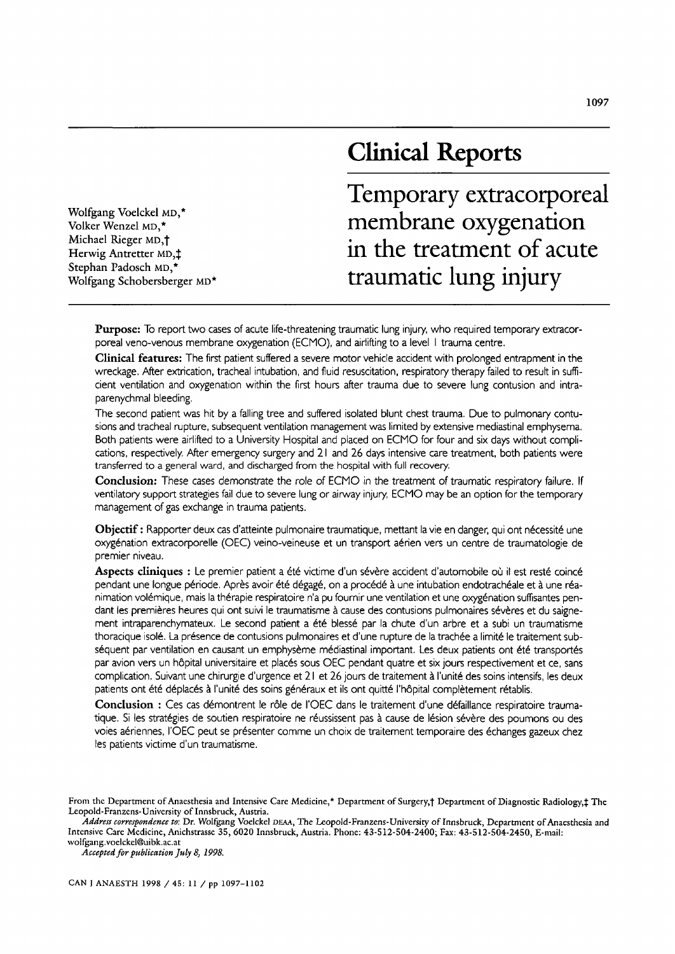# **Clinical Reports**

Wolfgang Voelckei MD,\* Volker Wenzel MD,\* Michael Rieger MD,<sup>†</sup> Herwig Antretter MD,<sup>1</sup> Stephan Padosch MD,\* Wolfgang Schobersberger MD\* **Temporary extracorporeal membrane oxygenation in the treatment of acute traumatic lung injury** 

Purpose: To report two cases of acute life-threatening traumatic lung injury, who required temporary extracorporeal veno-venous membrane oxygenation (ECMO), and airlifting to a level I trauma centre.

Clinical features: The first patient suffered a severe motor vehicle accident with prolonged entrapment in the wreckage. After extrication, tracheal intubation, and fluid resuscitation, respiratory therapy failed to result in sufficient ventilation and oxygenation within the first hours after trauma due to severe lung contusion and intraparenychmal bleeding.

The second patient was hit by a falling tree and suffered isolated blunt chest trauma. Due to pulmonary contusions and tracheal rupture, subsequent ventilation management was limited by extensive mediastinal emphysema. Both patients were airlifted to a University Hospital and placed on ECMO for four and six days without complications, respectively. After emergency surgery and 21 and 26 days intensive care treatment, both patients were transferred to a general ward, and discharged from the hospital with full recovery.

Conclusion: These cases demonstrate the role of ECMO in the treatment of traumatic respiratory failure. If ventilatory support strategies fail due to severe lung or airway injury, ECMO may be an option for the temporary management of gas exchange in trauma patients.

Objectif: Rapporter deux cas d'atteinte pulmonaire traumatique, mettant la vie en danger, qui ont nécessité une oxygenation extracorporelle (OEC) veino-veineuse et un transport a&ien vers un centre de traumatologie de premier niveau.

Aspects cliniques : Le premier patient a été victime d'un sévère accident d'automobile où il est resté coincé pendant une longue période. Après avoir été dégagé, on a procédé à une intubation endotrachéale et à une réanimation volémique, mais la thérapie respiratoire n'a pu fournir une ventilation et une oxygénation suffisantes pendant les premières heures qui ont suivi le traumatisme à cause des contusions pulmonaires sévères et du saignement intraparenchymateux. Le second patient a été blessé par la chute d'un arbre et a subi un traumatisme thoracique isolé. La présence de contusions pulmonaires et d'une rupture de la trachée a limité le traitement subséquent par ventilation en causant un emphysème médiastinal important. Les deux patients ont été transportés par avion vers un hôpital universitaire et placés sous OEC pendant quatre et six jours respectivement et ce, sans complication. Suivant une chirurgie d'urgence et 21 et 26 jours de traitement à l'unité des soins intensifs, les deux patients ont été déplacés à l'unité des soins généraux et ils ont quitté l'hôpital complètement rétablis.

Conclusion : Ces cas démontrent le rôle de l'OEC dans le traitement d'une défaillance respiratoire traumatique. Si les stratégies de soutien respiratoire ne réussissent pas à cause de lésion sévère des poumons ou des voies aériennes, l'OEC peut se présenter comme un choix de traitement temporaire des échanges gazeux chez les patients victime d'un traumatisme.

Address correspondence to: Dr. Wolfgang Voelckel DEAA, The Leopold-Franzens-University of Innsbruck, Department of Anaesthesia and Intensive Care Medicine, Anichstrasse 35, *6020* Innsbruck, Austria. Phone: 43-512-504-2400; Fax: 43-512-504-2450, E-mail: wolfgang.voelckel@uibk.ac.at

*Accepted for publication July 8, 1998,* 

From the Department of Anaesthesia and Intensive Care Medicine,\* Department of Surgery,† Department of Diagnostic Radiology,‡ The Leopold-Franzens-University of Innsbruck, Austria.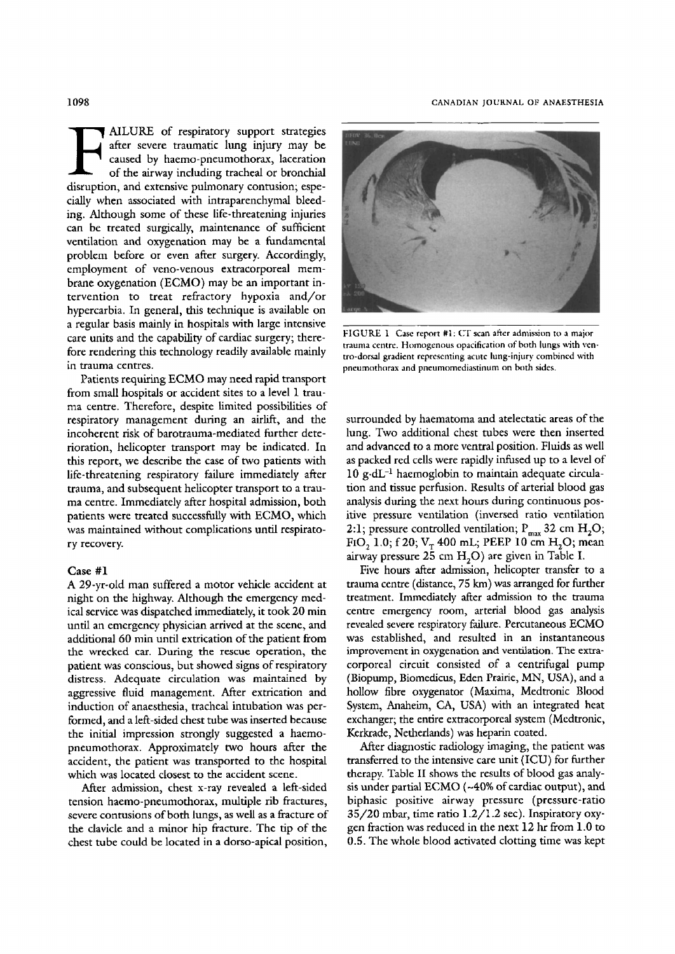#### 1098 CANADIAN JOURNAL OF ANAESTHESIA

**F AILURE** of respiratory support strategies<br>after severe traumatic lung injury may be<br>caused by haemo-pneumothorax, laceration<br>of the airway including tracheal or bronchial<br>digenvisor and extransive submanagement contrain after severe traumatic lung injury may be caused by haemo-pneumothorax, laceration of the airway including tracheal or bronchial disruption, and extensive pulmonary contusion; especially when associated with intraparenchymal bleeding, Although some of these life-threatening injuries can be treated surgically, maintenance of sufficient ventilation and oxygenation may be a fundamental problem before or even after surgery. Accordingly, employment of veno-venous extracorporeal membrane oxygenation (ECMO) may be an important intervention to treat refractory hypoxia and/or hypercarbia. In general, this technique is available on a regular basis mainly in hospitals with large intensive care units and the capability of cardiac surgery; therefore rendering this technology readily available mainly in trauma centres.

Patients requiring ECMO may need rapid transport from small hospitals or accident sites to a level I trauma centre. Therefore, despite limited possibilities of respiratory management during an airlift, and the incoherent risk of barotrauma-mediated further deterioration, helicopter transport may be indicated. In this report, we describe the case of two patients with life-threatening respiratory failure immediately after trauma, and subsequent helicopter transport to a trauma centre. Immediately after hospital admission, both patients were treated successfully with ECMO, which was maintained without complications until respiratory recovery.

#### **Case #1**

A 29-yr-old man suffered a motor vehicle accident at night on the highway. Although the emergency medical service was dispatched immediately, it took 20 min until an emergency physician arrived at the scene, and additional 60 min until extrication of the patient from the wrecked car. During the rescue operation, the patient was conscious, but showed signs of respiratory distress. Adequate circulation was maintained by aggressive fluid management. After extrication and induction of anaesthesia, tracheal intubation was performed, and a left-sided chest tube was inserted because the initial impression strongly suggested a haemopneumothorax. Approximately two hours after the accident, the patient was transported to the hospital which was located closest to the accident scene.

After admission, chest x-ray revealed a left-sided tension haemo-pneumothorax, multiple rib fractures, severe contusions of both lungs, as well as a fracture of the davide and a minor hip fracture. The tip of the chest tube could be located in a dorso-apical position,



FIGURE 1 Case report #1: CT scan after admission to a major trauma centre. Homogenous opacification of both lungs with ventro-dorsal gradient representing acute lung-injury combined with pneumothorax and pneumomediasfinum on both sides,

surrounded by haematoma and atelectatic areas of the lung. Two additional chest tubes were then inserted and advanced to a more ventral position. Fluids as well as packed red cells were rapidly infused up to a level of  $10 \text{ g} \cdot dL^{-1}$  haemoglobin to maintain adequate circulation and tissue perfusion. Results of arterial blood gas analysis during the next hours during continuous positive pressure ventilation (inversed ratio ventilation 2:1; pressure controlled ventilation;  $P_{max}$  32 cm  $H_2O$ ; FIO, 1.0; f 20;  $V_T$  400 mL; PEEP 10 cm H<sub>2</sub>O; mean airway pressure  $25 \text{ cm H}_2\text{O}$  are given in Table I.

Five hours after admission, helicopter transfer to a trauma centre (distance, 75 km) was arranged for further treatment. Immediately after admission to the trauma centre emergency room, arterial blood gas analysis revealed severe respiratory failure. Percutaneous ECMO was established, and resulted in an instantaneous improvement in oxygenation and ventilation. The extracorporeal circuit consisted of a centrifugal pump (Biopump, Biomedicus, Eden Prairie, MN, USA), and a hollow fibre oxygenator (Maxima, Medtronic Blood System, Anaheim, CA, USA) with an integrated heat exchanger; the entire extracorporeal system (Mcdtronic, Kerkrade, Netherlands) was heparin coated.

After diagnostic radiology imaging, the patient was transferred to the intensive care unit (ICU) for further therapy. Table II shows the results of blood gas analysis under partial ECMO (~40% of cardiac output), and biphasic positive airway pressure (pressure-ratio 35/20 mbar, time ratio 1.2/t.2 sec). Inspiratory oxygen fraction was reduced in the next 12 hr from 1.0 to 0.5. The whole blood activated clotting time was kept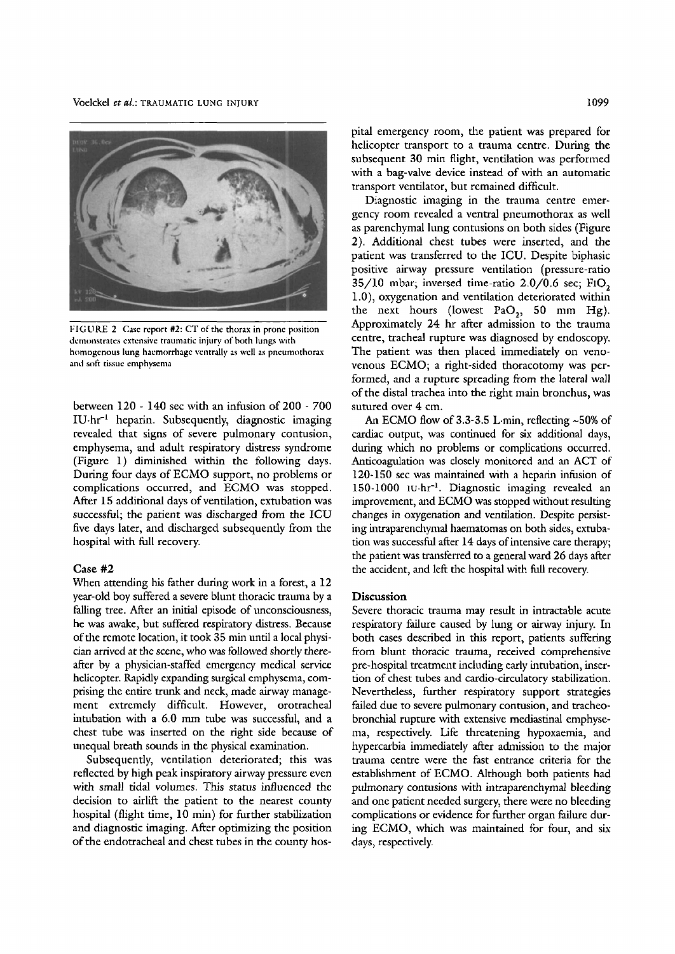

FIGURE 2 Case report #2: CT of the thorax in prone position demonstrates extensive traumatic injury of both lungs with homogenous lung haemorrhage ventrally as well as pneumothorax and soft tissue emphysema

between 120 - 140 sec with an infusion of 200 - 700  $IU·hr<sup>-1</sup>$  heparin. Subsequently, diagnostic imaging revealed that signs of severe pulmonary contusion, emphysema, and adult respiratory distress syndrome (Figure 1) diminished within the following days. During four days of ECMO support, no problems or complications occurred, and ECMO was stopped. After 15 additional days of ventilation, extubation was successful; the patient was discharged from the ICU five days later, and discharged subsequently from the hospital with full recovery.

#### Case #2

When attending his father during work in a forest, a 12 year-old boy suffered a severe blunt thoracic trauma by a falling tree. After an initial episode of unconsciousness, he was awake, but suffered respiratory distress. Because of the remote location, it took 35 min until a local physician arrived at the scene, who was followed shortly thereafter by a physician-staffed emergency medical service helicopter. Rapidly expanding surgical emphysema, comprising the entire trunk and neck, made airway management extremely difficult. However, orotracheal intubation with a 6.0 mm tube was successful, and a chest tube was inserted on the fight side because of unequal breath sounds in the physical examination.

Subsequently, ventilation deteriorated; this was reflected by high peak inspiratory airway pressure even with small tidal volumes. This status influenced the decision to airlift the patient to the nearest county hospital (flight time, 10 min) for further stabilization and diagnostic imaging. After optimizing the position of the endotracheal and chest tubes in the county hospital emergency room, the patient was prepared for helicopter transport to a trauma centre. During the subsequent 30 min flight, ventilation was performed with a bag-valve device instead of with an automatic transport ventilator, but remained difficult.

Diagnostic imaging in the trauma centre emergency room revealed a ventral pneumothorax as well as parenchymal lung contusions on both sides (Figure 2). Additional chest tubes were inserted, and the patient was transferred to the ICU. Despite biphasic positive airway pressure ventilation (pressure-ratio  $35/10$  mbar; inversed time-ratio  $2.0/0.6$  sec; FiO, 1.0), oxygenation and ventilation deteriorated within the next hours (lowest PaO<sub>2</sub>, 50 mm Hg). Approximately 24 hr after admission to the trauma centre, tracheal rupture was diagnosed by endoscopy. The patient was then placed immediately on venovenous ECMO; a right-sided thoracotomy was performed, and a rupture spreading from the lateral wall of the distal trachea into the right main bronchus, was sutured over 4 cm.

An ECMO flow of  $3.3-3.5$  L min, reflecting  $\sim 50\%$  of cardiac output, was continued for six additional days, during which no problems or complications occurred. Anticoagulation was closely monitored and an ACT of 120-150 sec was maintained with a heparin infusion of 150-1000 1U.hr<sup>-1</sup>. Diagnostic imaging revealed an improvement, and ECMO was stopped without resulting changes in oxygenation and ventilation. Despite persisting intraparenchymal haematomas on both sides, extubation was successful after 14 days of intensive care therapy; the patient was transferred to a general ward 26 days after the accident, and left the hospital with full recovery.

## **Discussion**

Severe thoracic trauma may result in intractable acute respiratory failure caused by lung or airway injury. In both cases described in this report, patients suffering from blunt thoracic trauma, received comprehensive pre-hospital treatment including early intubation, insertion of chest tubes and cardio-circulatory stabilization. Nevertheless, further respiratory support strategies failed due to severe pulmonary contusion, and tracheobronchial rupture with extensive mediastinal emphysema, respectively. Life threatening hypoxaemia, and hypercarbia immediately after admission to the major trauma centre were the fast entrance criteria for the establishment of ECMO. Although both patients had pulmonary contusions with intraparenchymal bleeding and one patient needed surgery, there were no bleeding complications or evidence for further organ failure during ECMO, which was maintained for four, and six days, respectively.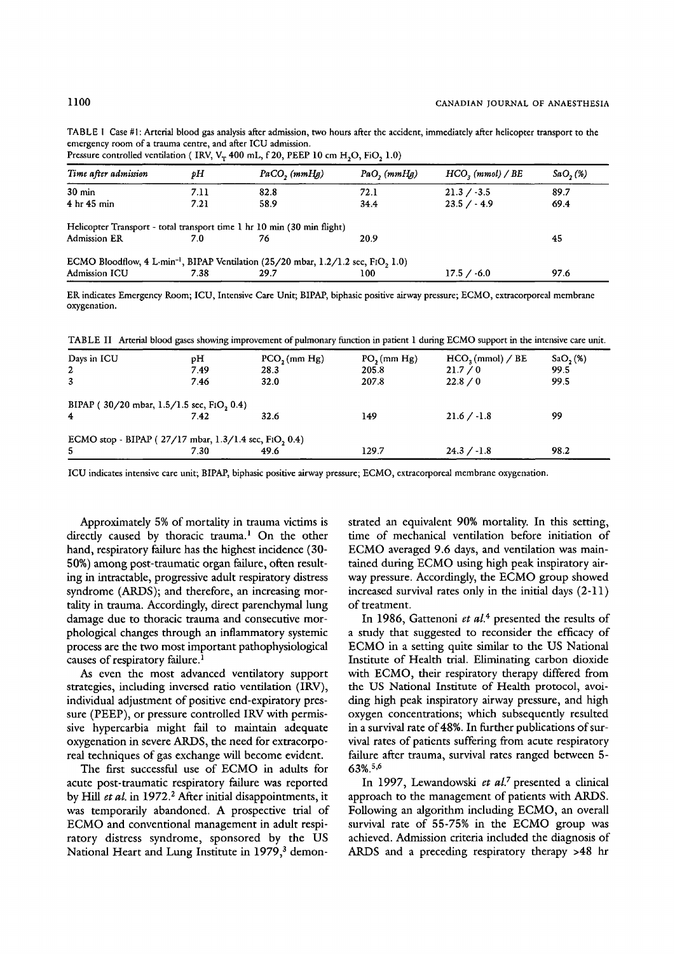TABLE I Case #1: Arterial blood gas analysis after admission, two hours after the accident, immediately after helicopter transport to the emergency room of a trauma centre, and after ICU admission.

Pressure controlled ventilation ( IRV,  $V_T$  400 mL, f 20, PEEP 10 cm H<sub>2</sub>O, FiO<sub>2</sub> 1.0)

| Time after admission                                                    | рH   | $PaCO$ , $(mmHg)$                                                                                           | PaO, (mmHg) | $HCO2$ (mmol) / BE | $SaO,$ (%)<br>89.7 |  |
|-------------------------------------------------------------------------|------|-------------------------------------------------------------------------------------------------------------|-------------|--------------------|--------------------|--|
| $30 \text{ min}$                                                        | 7.11 | 82.8                                                                                                        | 72.1        | $21.3 / -3.5$      |                    |  |
| $4hr$ 45 min                                                            | 7.21 | 58.9                                                                                                        | 34.4        | $23.5 / - 4.9$     | 69.4               |  |
| Helicopter Transport - total transport time 1 hr 10 min (30 min flight) |      |                                                                                                             |             |                    |                    |  |
|                                                                         | 7.0  | 76                                                                                                          | 20.9        |                    | 45                 |  |
| <b>Admission ER</b>                                                     |      | ECMO Bloodflow, 4 L·min <sup>-1</sup> , BIPAP Ventilation (25/20 mbar, $1.2/1.2$ sec, FIO <sub>2</sub> 1.0) |             |                    |                    |  |

ER indicates Emergency Room; ICU, Intensive Care Unit; BIPAP, biphasic positive airway pressure; ECMO, extracorporeal membrane oxygenation.

TABLE II Arterial blood gases showing improvement of pulmonary function in patient 1 during ECMO support in the intensive care unit.

| Days in ICU                                           | pН   | $PCO2$ (mm Hg) | $PO2$ (mm Hg) | HCO <sub>3</sub> (mmol) / BE | SaO <sub>2</sub> (%) |  |
|-------------------------------------------------------|------|----------------|---------------|------------------------------|----------------------|--|
| $\mathbf{2}$                                          | 7.49 | 28.3           | 205.8         | 21.7 / 0                     | 99.5                 |  |
| $\overline{3}$                                        | 7.46 | 32.0           | 207.8         | 22.8 / 0                     | 99.5                 |  |
| BIPAP (30/20 mbar, 1.5/1.5 sec, FIO, 0.4)             |      |                |               |                              |                      |  |
| $\overline{4}$                                        | 7.42 | 32.6           | 149           | $21.6 / -1.8$                | 99                   |  |
| ECMO stop - BIPAP (27/17 mbar, 1.3/1.4 sec, FiO, 0.4) |      |                |               |                              |                      |  |
| 5                                                     | 7.30 | 49.6           | 129.7         | $24.3 / -1.8$                | 98.2                 |  |

ICU indicates intensive care unit; BIPAP, biphasic positive airway pressure; ECMO, extracorporeal membrane oxygenation.

Approximately 5% of mortality in trauma victims is directly caused by thoracic trauma.<sup>1</sup> On the other hand, respiratory failure has the highest incidence (30- 50%) among post-traumatic organ failure, often resulting in intractable, progressive adult respiratory distress syndrome (ARDS); and therefore, an increasing mortality in trauma. Accordingly, direct parenchymal lung damage due to thoracic trauma and consecutive morphological changes through an inflammatory systemic process are the two most important pathophysiological causes of respiratory failure.<sup>1</sup>

As even the most advanced ventilatory support strategies, including inversed ratio ventilation (IRV), individual adjustment of positive end-expiratory pressure (PEEP), or pressure controlled IRV with permissive hypercarbia might fail to maintain adequate oxygenation in severe ARDS, the need for extracorporeal techniques of gas exchange will become evident.

The first successful use of ECMO in adults for acute post-traumatic respiratory failure was reported by Hill *et al.* in 1972.<sup>2</sup> After initial disappointments, it was temporarily abandoned. A prospective trial of ECMO and conventional management in adult respiratory distress syndrome, sponsored by the US National Heart and Lung Institute in 1979,<sup>3</sup> demonstrated an equivalent 90% mortality. In this setting, time of mechanical ventilation before initiation of ECMO averaged 9.6 days, and ventilation was maintained during ECMO using high peak inspiratory airway pressure. Accordingly, the ECMO group showed increased survival rates only in the initial days (2-11) of treatment.

In 1986, Gattenoni et al.<sup>4</sup> presented the results of a study that suggested to reconsider the efficacy of ECMO in a setting quite similar to the US National Institute of Health trial. Eliminating carbon dioxide with ECMO, their respiratory therapy differed from the US National Institute of Health protocol, avoiding high peak inspiratory airway pressure, and high oxygen concentrations; which subsequently resulted in a survival rate of 48%. In further publications of survival rates of patients suffering from acute respiratory failure after trauma, survival rates ranged between 5- 63%.5,6

In 1997, Lewandowski et al.<sup>7</sup> presented a clinical approach to the management of patients with ARDS. Following an algorithm including ECMO, an overall survival rate of 55-75% in the ECMO group was achieved. Admission criteria included the diagnosis of ARDS and a preceding respiratory therapy >48 hr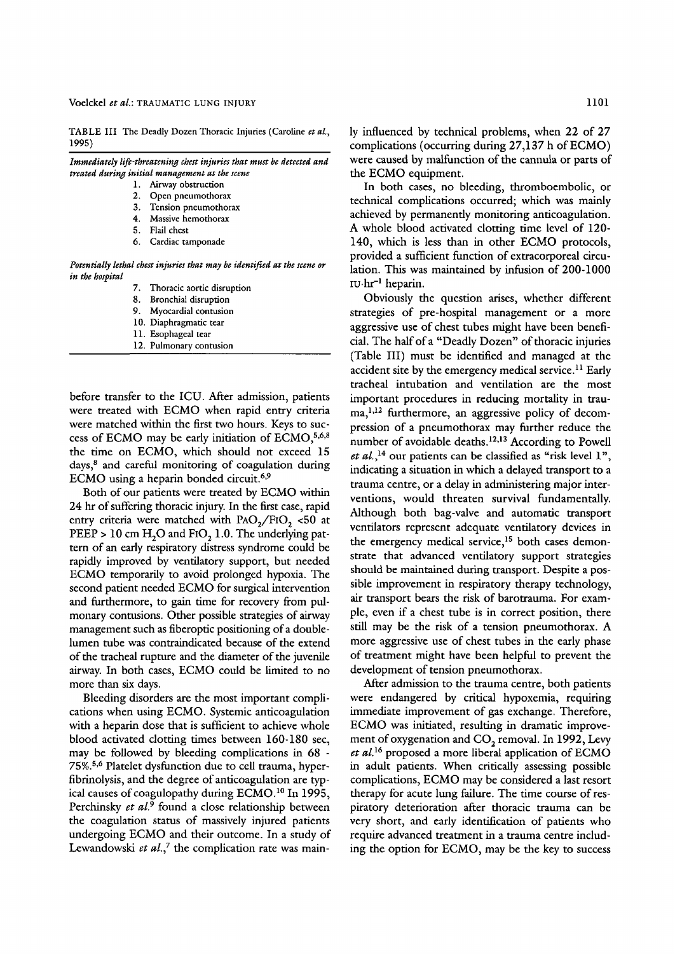TABLE III The Deadly Dozen Thoracic Injuries (Caroline et al., 1995)

| Immediately life-threatening chest injuries that must be detected and |  |  |  |  |  |
|-----------------------------------------------------------------------|--|--|--|--|--|
| treated during initial management at the scene                        |  |  |  |  |  |
|                                                                       |  |  |  |  |  |

- 1. Airway obstruction
- 2. Open pneumothorax
- 3. Tension pneumothorax
- 4. Massive hemothorax
- 5. Flail chest<br>6. Cardiac ta
- Cardiac tamponade

*Potentially lethal chest injuries that may he identified at the scene or in the hospital* 

- 7. Thoracic aortic disruption
- 8. Bronchial disruption
- 9. Myocardial contusion
- 10. Diaphragmatic tear
- 11. Esophageal tear
- 12. Pulmonary contusion

before transfer to the ICU. After admission, patients were treated with ECMO when rapid entry criteria were matched within the first two hours. Keys to success of ECMO may be early initiation of  $ECMO$ ,  $5,6,8$ the time on ECMO, which should not exceed 15 days, $8$  and careful monitoring of coagulation during ECMO using a heparin bonded circuit. 6,9

Both of our patients were treated by ECMO within 24 hr of suffering thoracic injury. In the first case, rapid entry criteria were matched with  $PAO<sub>2</sub>/FIO$ , <50 at  $PEEP > 10$  cm  $H<sub>2</sub>O$  and FIO<sub>2</sub> 1.0. The underlying pattern of an early respiratory distress syndrome could be rapidly improved by ventilatory support, but needed ECMO temporarily to avoid prolonged hypoxia. The second patient needed ECMO for surgical intervention and furthermore, to gain time for recovery from pulmonary contusions. Other possible strategies of airway management such as fiberoptic positioning of a doublelumen tube was contraindicated because of the extend of the tracheal rupture and the diameter of the juvenile airway. In both cases, ECMO could be limited to no more than six days.

Bleeding disorders are the most important complications when using ECMO. Systemic anticoagulation with a heparin dose that is sufficient to achieve whole blood activated clotting times between 160-180 sec, may be followed by bleeding complications in 68 - 75%.<sup>5,6</sup> Platelet dysfunction due to cell trauma, hyperfibrinolysis, and the degree of anticoagulation are typical causes of coagulopathy during ECMO.<sup>10</sup> In 1995, Perchinsky et al.<sup>9</sup> found a close relationship between the coagulation status of massively injured patients undergoing ECMO and their outcome. In a study of Lewandowski *et al.*,<sup>7</sup> the complication rate was main-

ly influenced by technical problems, when 22 of 27 complications (occurring during 27,137 h of ECMO) were caused by malfunction of the cannula or parts of the ECMO equipment.

In both cases, no bleeding, thromboembolic, or technical complications occurred; which was mainly achieved by permanently monitoring anticoagulation. A whole blood activated clotting time level of 120- 140, which is less than in other ECMO protocols, provided a sufficient function of extracorporeal circulation. This was maintained by infusion of 200-1000  $IU·hr^{-1}$  heparin.

Obviously the question arises, whether different strategies of pre-hospital management or a more aggressive use of chest tubes might have been beneficial. The halfofa "Deadly Dozen" of thoracic injuries (Table III) must be identified and managed at the accident site by the emergency medical service.<sup>11</sup> Early tracheal intubation and ventilation are the most important procedures in reducing mortality in trauma, 1,12 furthermore, an aggressive policy of decompression of a pneumothorax may further reduce the number of avoidable deaths.<sup>12,13</sup> According to Powell *et al., ia our* patients can be classified as "risk level 1", indicating a situation in which a delayed transport to a trauma centre, or a delay in administering major interventions, would threaten survival fundamentally. Although both bag-valve and automatic transport ventilators represent adequate ventilatory devices in the emergency medical service,<sup>15</sup> both cases demonstrate that advanced ventilatory support strategies should be maintained during transport. Despite a possible improvement in respiratory therapy technology, air transport bears the risk of barotrauma. For example, even if a chest tube is in correct position, there still may be the risk of a tension pneumothorax. A more aggressive use of chest tubes in the early phase of treatment might have been helpful to prevent the development of tension pneumothorax.

After admission to the trauma centre, both patients were endangered by critical hypoxemia, requiring immediate improvement of gas exchange. Therefore, ECMO was initiated, resulting in dramatic improvement of oxygenation and CO<sub>2</sub> removal. In 1992, Levy  $et$  al.<sup>16</sup> proposed a more liberal application of ECMO in adult patients. When critically assessing possible complications, ECMO may be considered a last resort therapy for acute lung failure. The time course of respiratory deterioration after thoracic trauma can be very short, and early identification of patients who require advanced treatment in a trauma centre including the option for ECMO, may be the key to success